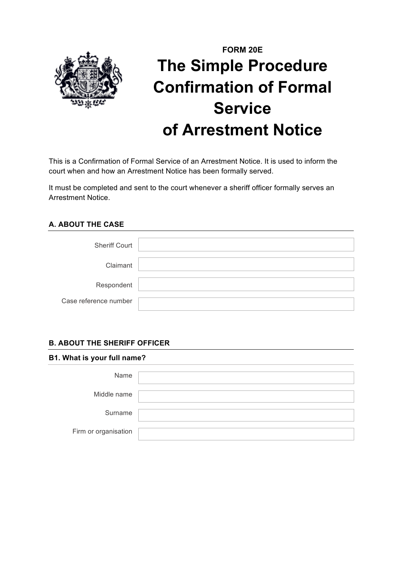

# **FORM 20E The Simple Procedure Confirmation of Formal Service of Arrestment Notice**

This is a Confirmation of Formal Service of an Arrestment Notice. It is used to inform the court when and how an Arrestment Notice has been formally served.

It must be completed and sent to the court whenever a sheriff officer formally serves an Arrestment Notice.

## **A. ABOUT THE CASE**

| <b>Sheriff Court</b>  |  |
|-----------------------|--|
| Claimant              |  |
| Respondent            |  |
| Case reference number |  |

## **B. ABOUT THE SHERIFF OFFICER**

#### **B1. What is your full name?**

| Name                 |  |
|----------------------|--|
| Middle name          |  |
| Surname              |  |
| Firm or organisation |  |